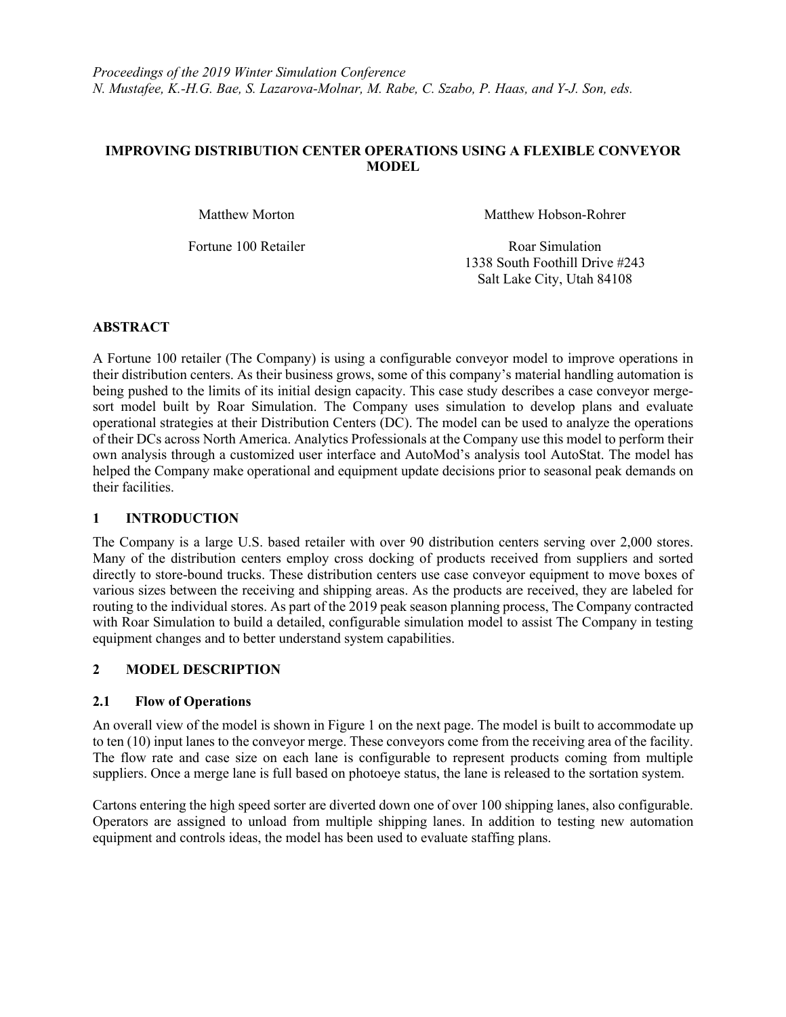# **IMPROVING DISTRIBUTION CENTER OPERATIONS USING A FLEXIBLE CONVEYOR MODEL**

Matthew Morton Matthew Hobson-Rohrer

Fortune 100 Retailer Roar Simulation 1338 South Foothill Drive #243 Salt Lake City, Utah 84108

# **ABSTRACT**

A Fortune 100 retailer (The Company) is using a configurable conveyor model to improve operations in their distribution centers. As their business grows, some of this company's material handling automation is being pushed to the limits of its initial design capacity. This case study describes a case conveyor mergesort model built by Roar Simulation. The Company uses simulation to develop plans and evaluate operational strategies at their Distribution Centers (DC). The model can be used to analyze the operations of their DCs across North America. Analytics Professionals at the Company use this model to perform their own analysis through a customized user interface and AutoMod's analysis tool AutoStat. The model has helped the Company make operational and equipment update decisions prior to seasonal peak demands on their facilities.

# **1 INTRODUCTION**

The Company is a large U.S. based retailer with over 90 distribution centers serving over 2,000 stores. Many of the distribution centers employ cross docking of products received from suppliers and sorted directly to store-bound trucks. These distribution centers use case conveyor equipment to move boxes of various sizes between the receiving and shipping areas. As the products are received, they are labeled for routing to the individual stores. As part of the 2019 peak season planning process, The Company contracted with Roar Simulation to build a detailed, configurable simulation model to assist The Company in testing equipment changes and to better understand system capabilities.

# **2 MODEL DESCRIPTION**

# **2.1 Flow of Operations**

An overall view of the model is shown in Figure 1 on the next page. The model is built to accommodate up to ten (10) input lanes to the conveyor merge. These conveyors come from the receiving area of the facility. The flow rate and case size on each lane is configurable to represent products coming from multiple suppliers. Once a merge lane is full based on photoeye status, the lane is released to the sortation system.

Cartons entering the high speed sorter are diverted down one of over 100 shipping lanes, also configurable. Operators are assigned to unload from multiple shipping lanes. In addition to testing new automation equipment and controls ideas, the model has been used to evaluate staffing plans.